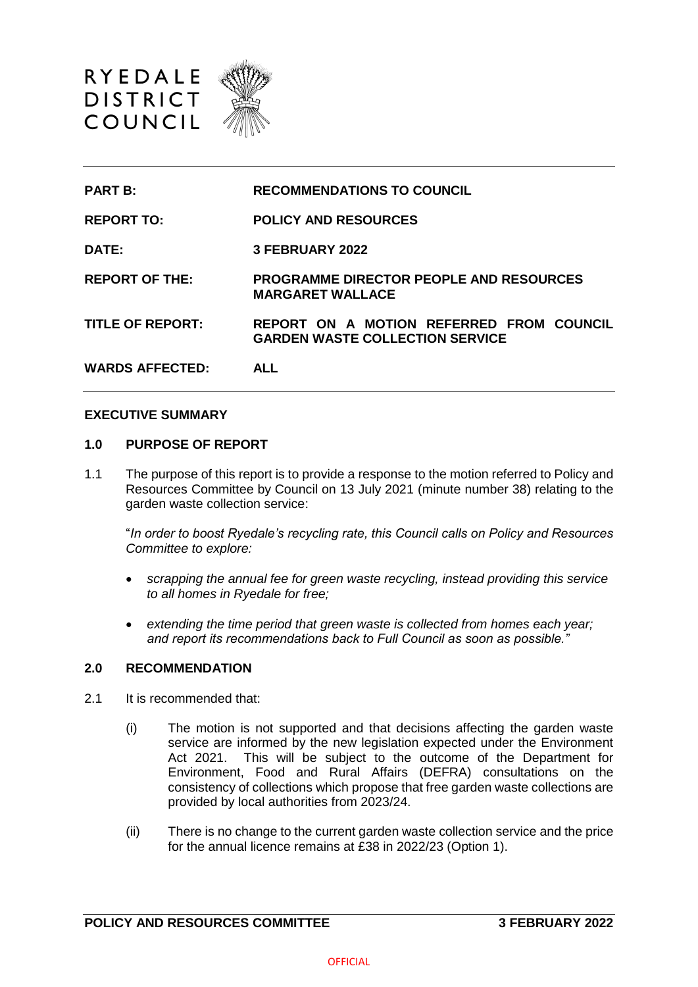

| <b>PART B:</b>          | <b>RECOMMENDATIONS TO COUNCIL</b>                                                  |
|-------------------------|------------------------------------------------------------------------------------|
| <b>REPORT TO:</b>       | <b>POLICY AND RESOURCES</b>                                                        |
| DATE:                   | 3 FEBRUARY 2022                                                                    |
| <b>REPORT OF THE:</b>   | <b>PROGRAMME DIRECTOR PEOPLE AND RESOURCES</b><br><b>MARGARET WALLACE</b>          |
| <b>TITLE OF REPORT:</b> | REPORT ON A MOTION REFERRED FROM COUNCIL<br><b>GARDEN WASTE COLLECTION SERVICE</b> |
| <b>WARDS AFFECTED:</b>  | <b>ALL</b>                                                                         |

### **EXECUTIVE SUMMARY**

### **1.0 PURPOSE OF REPORT**

1.1 The purpose of this report is to provide a response to the motion referred to Policy and Resources Committee by Council on 13 July 2021 (minute number 38) relating to the garden waste collection service:

"*In order to boost Ryedale's recycling rate, this Council calls on Policy and Resources Committee to explore:*

- *scrapping the annual fee for green waste recycling, instead providing this service to all homes in Ryedale for free;*
- *extending the time period that green waste is collected from homes each year; and report its recommendations back to Full Council as soon as possible."*

### **2.0 RECOMMENDATION**

- 2.1 It is recommended that:
	- (i) The motion is not supported and that decisions affecting the garden waste service are informed by the new legislation expected under the Environment Act 2021. This will be subject to the outcome of the Department for Environment, Food and Rural Affairs (DEFRA) consultations on the consistency of collections which propose that free garden waste collections are provided by local authorities from 2023/24.
	- (ii) There is no change to the current garden waste collection service and the price for the annual licence remains at £38 in 2022/23 (Option 1).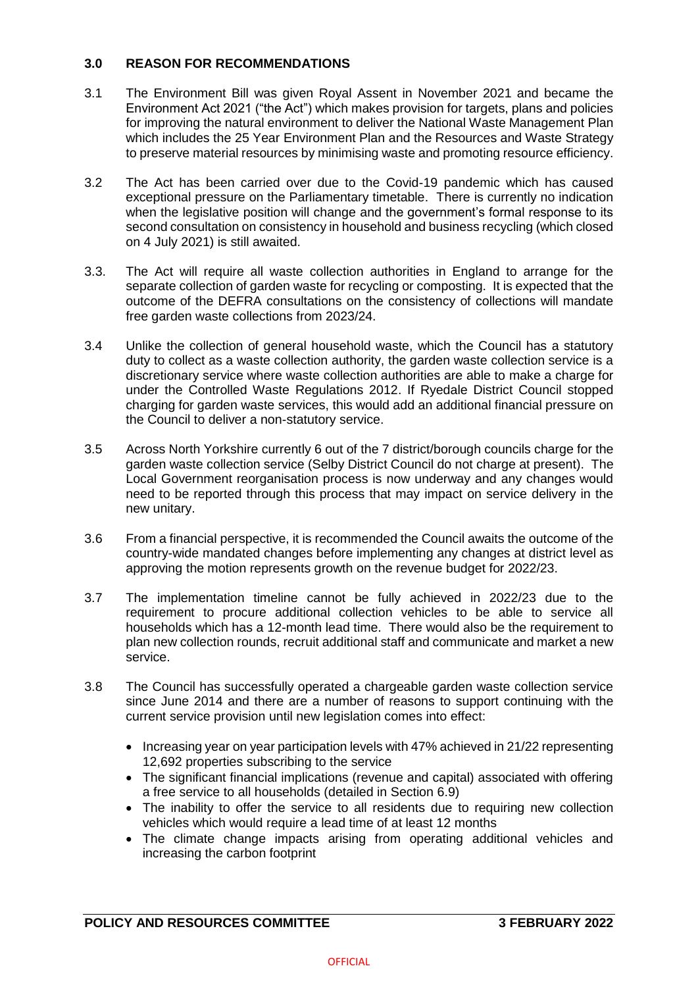## **3.0 REASON FOR RECOMMENDATIONS**

- 3.1 The Environment Bill was given Royal Assent in November 2021 and became the Environment Act 2021 ("the Act") which makes provision for targets, plans and policies for improving the natural environment to deliver the National Waste Management Plan which includes the 25 Year Environment Plan and the Resources and Waste Strategy to preserve material resources by minimising waste and promoting resource efficiency.
- 3.2 The Act has been carried over due to the Covid-19 pandemic which has caused exceptional pressure on the Parliamentary timetable. There is currently no indication when the legislative position will change and the government's formal response to its second consultation on consistency in household and business recycling (which closed on 4 July 2021) is still awaited.
- 3.3. The Act will require all waste collection authorities in England to arrange for the separate collection of garden waste for recycling or composting. It is expected that the outcome of the DEFRA consultations on the consistency of collections will mandate free garden waste collections from 2023/24.
- 3.4 Unlike the collection of general household waste, which the Council has a statutory duty to collect as a waste collection authority, the garden waste collection service is a discretionary service where waste collection authorities are able to make a charge for under the Controlled Waste Regulations 2012. If Ryedale District Council stopped charging for garden waste services, this would add an additional financial pressure on the Council to deliver a non-statutory service.
- 3.5 Across North Yorkshire currently 6 out of the 7 district/borough councils charge for the garden waste collection service (Selby District Council do not charge at present). The Local Government reorganisation process is now underway and any changes would need to be reported through this process that may impact on service delivery in the new unitary.
- 3.6 From a financial perspective, it is recommended the Council awaits the outcome of the country-wide mandated changes before implementing any changes at district level as approving the motion represents growth on the revenue budget for 2022/23.
- 3.7 The implementation timeline cannot be fully achieved in 2022/23 due to the requirement to procure additional collection vehicles to be able to service all households which has a 12-month lead time. There would also be the requirement to plan new collection rounds, recruit additional staff and communicate and market a new service.
- 3.8 The Council has successfully operated a chargeable garden waste collection service since June 2014 and there are a number of reasons to support continuing with the current service provision until new legislation comes into effect:
	- Increasing year on year participation levels with 47% achieved in 21/22 representing 12,692 properties subscribing to the service
	- The significant financial implications (revenue and capital) associated with offering a free service to all households (detailed in Section 6.9)
	- The inability to offer the service to all residents due to requiring new collection vehicles which would require a lead time of at least 12 months
	- The climate change impacts arising from operating additional vehicles and increasing the carbon footprint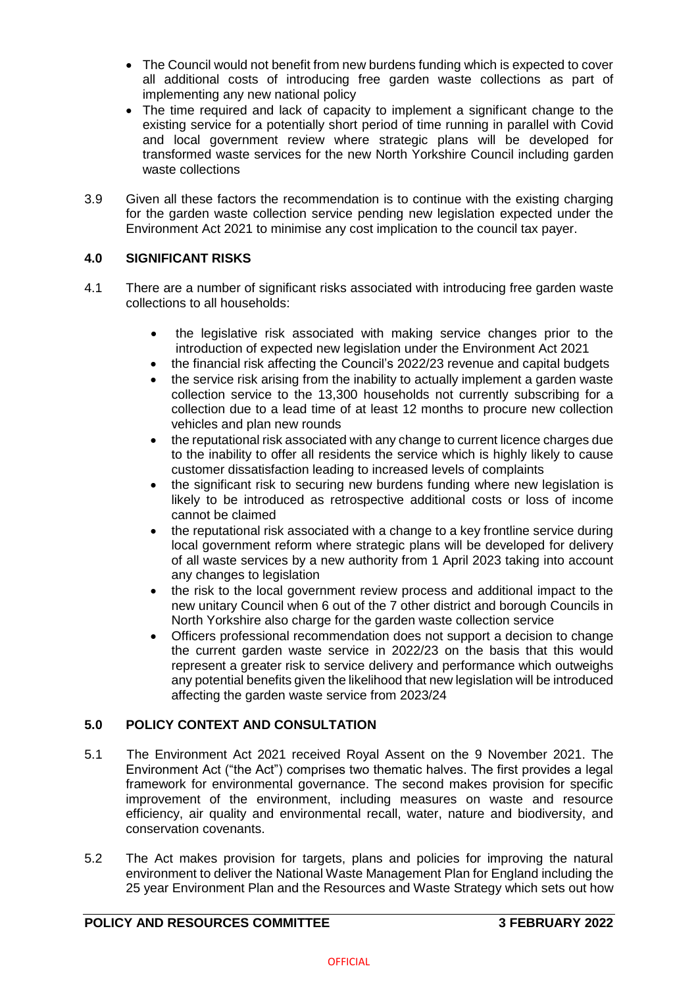- The Council would not benefit from new burdens funding which is expected to cover all additional costs of introducing free garden waste collections as part of implementing any new national policy
- The time required and lack of capacity to implement a significant change to the existing service for a potentially short period of time running in parallel with Covid and local government review where strategic plans will be developed for transformed waste services for the new North Yorkshire Council including garden waste collections
- 3.9 Given all these factors the recommendation is to continue with the existing charging for the garden waste collection service pending new legislation expected under the Environment Act 2021 to minimise any cost implication to the council tax payer.

# **4.0 SIGNIFICANT RISKS**

- 4.1 There are a number of significant risks associated with introducing free garden waste collections to all households:
	- the legislative risk associated with making service changes prior to the introduction of expected new legislation under the Environment Act 2021
	- the financial risk affecting the Council's 2022/23 revenue and capital budgets
	- the service risk arising from the inability to actually implement a garden waste collection service to the 13,300 households not currently subscribing for a collection due to a lead time of at least 12 months to procure new collection vehicles and plan new rounds
	- the reputational risk associated with any change to current licence charges due to the inability to offer all residents the service which is highly likely to cause customer dissatisfaction leading to increased levels of complaints
	- the significant risk to securing new burdens funding where new legislation is likely to be introduced as retrospective additional costs or loss of income cannot be claimed
	- the reputational risk associated with a change to a key frontline service during local government reform where strategic plans will be developed for delivery of all waste services by a new authority from 1 April 2023 taking into account any changes to legislation
	- the risk to the local government review process and additional impact to the new unitary Council when 6 out of the 7 other district and borough Councils in North Yorkshire also charge for the garden waste collection service
	- Officers professional recommendation does not support a decision to change the current garden waste service in 2022/23 on the basis that this would represent a greater risk to service delivery and performance which outweighs any potential benefits given the likelihood that new legislation will be introduced affecting the garden waste service from 2023/24

# **5.0 POLICY CONTEXT AND CONSULTATION**

- 5.1 The Environment Act 2021 received Royal Assent on the 9 November 2021. The Environment Act ("the Act") comprises two thematic halves. The first provides a legal framework for environmental governance. The second makes provision for specific improvement of the environment, including measures on waste and resource efficiency, air quality and environmental recall, water, nature and biodiversity, and conservation covenants.
- 5.2 The Act makes provision for targets, plans and policies for improving the natural environment to deliver the National Waste Management Plan for England including the 25 year Environment Plan and the Resources and Waste Strategy which sets out how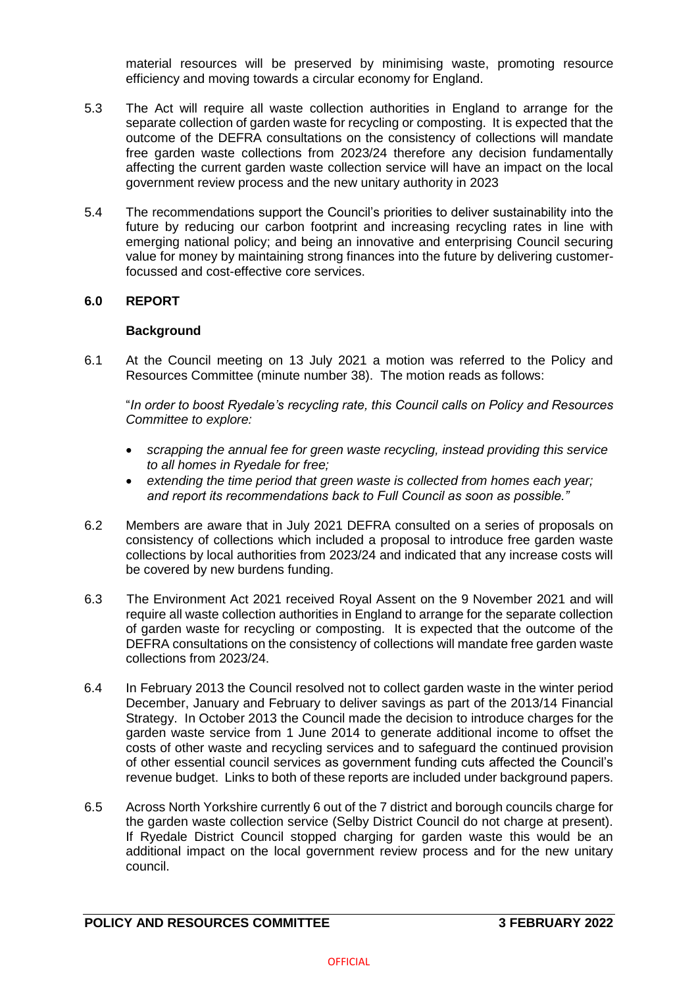material resources will be preserved by minimising waste, promoting resource efficiency and moving towards a circular economy for England.

- 5.3 The Act will require all waste collection authorities in England to arrange for the separate collection of garden waste for recycling or composting. It is expected that the outcome of the DEFRA consultations on the consistency of collections will mandate free garden waste collections from 2023/24 therefore any decision fundamentally affecting the current garden waste collection service will have an impact on the local government review process and the new unitary authority in 2023
- 5.4 The recommendations support the Council's priorities to deliver sustainability into the future by reducing our carbon footprint and increasing recycling rates in line with emerging national policy; and being an innovative and enterprising Council securing value for money by maintaining strong finances into the future by delivering customerfocussed and cost-effective core services.

## **6.0 REPORT**

## **Background**

6.1 At the Council meeting on 13 July 2021 a motion was referred to the Policy and Resources Committee (minute number 38). The motion reads as follows:

"*In order to boost Ryedale's recycling rate, this Council calls on Policy and Resources Committee to explore:*

- *scrapping the annual fee for green waste recycling, instead providing this service to all homes in Ryedale for free;*
- *extending the time period that green waste is collected from homes each year; and report its recommendations back to Full Council as soon as possible."*
- 6.2 Members are aware that in July 2021 DEFRA consulted on a series of proposals on consistency of collections which included a proposal to introduce free garden waste collections by local authorities from 2023/24 and indicated that any increase costs will be covered by new burdens funding.
- 6.3 The Environment Act 2021 received Royal Assent on the 9 November 2021 and will require all waste collection authorities in England to arrange for the separate collection of garden waste for recycling or composting. It is expected that the outcome of the DEFRA consultations on the consistency of collections will mandate free garden waste collections from 2023/24.
- 6.4 In February 2013 the Council resolved not to collect garden waste in the winter period December, January and February to deliver savings as part of the 2013/14 Financial Strategy. In October 2013 the Council made the decision to introduce charges for the garden waste service from 1 June 2014 to generate additional income to offset the costs of other waste and recycling services and to safeguard the continued provision of other essential council services as government funding cuts affected the Council's revenue budget. Links to both of these reports are included under background papers.
- 6.5 Across North Yorkshire currently 6 out of the 7 district and borough councils charge for the garden waste collection service (Selby District Council do not charge at present). If Ryedale District Council stopped charging for garden waste this would be an additional impact on the local government review process and for the new unitary council.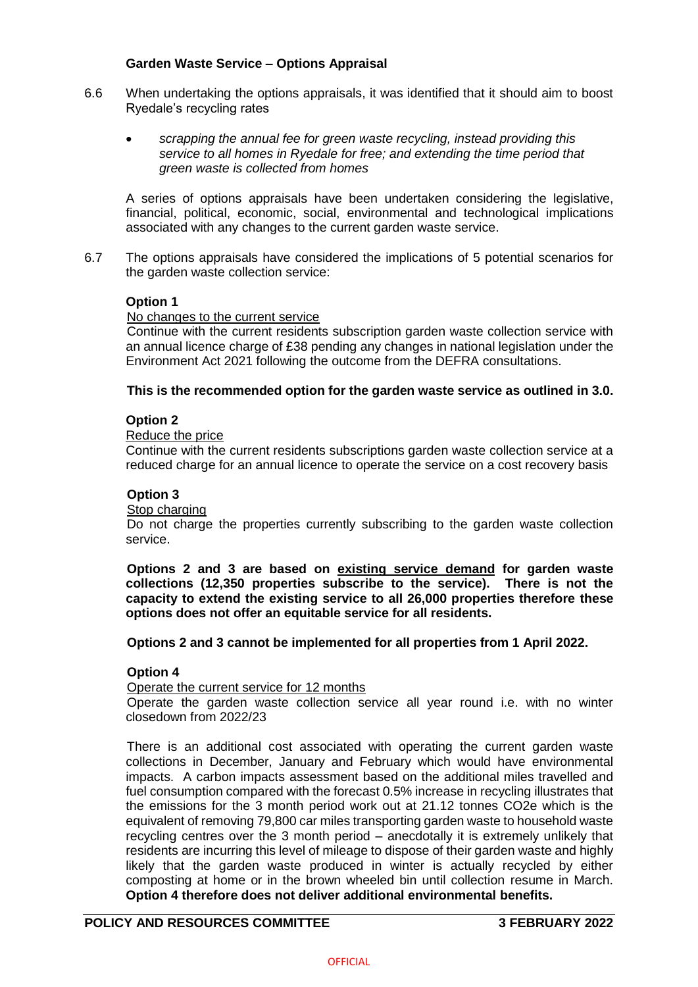### **Garden Waste Service – Options Appraisal**

- 6.6 When undertaking the options appraisals, it was identified that it should aim to boost Ryedale's recycling rates
	- *scrapping the annual fee for green waste recycling, instead providing this service to all homes in Ryedale for free; and extending the time period that green waste is collected from homes*

A series of options appraisals have been undertaken considering the legislative, financial, political, economic, social, environmental and technological implications associated with any changes to the current garden waste service.

6.7 The options appraisals have considered the implications of 5 potential scenarios for the garden waste collection service:

## **Option 1**

### No changes to the current service

Continue with the current residents subscription garden waste collection service with an annual licence charge of £38 pending any changes in national legislation under the Environment Act 2021 following the outcome from the DEFRA consultations.

### **This is the recommended option for the garden waste service as outlined in 3.0.**

### **Option 2**

### Reduce the price

Continue with the current residents subscriptions garden waste collection service at a reduced charge for an annual licence to operate the service on a cost recovery basis

### **Option 3**

### Stop charging

Do not charge the properties currently subscribing to the garden waste collection service.

**Options 2 and 3 are based on existing service demand for garden waste collections (12,350 properties subscribe to the service). There is not the capacity to extend the existing service to all 26,000 properties therefore these options does not offer an equitable service for all residents.**

### **Options 2 and 3 cannot be implemented for all properties from 1 April 2022.**

### **Option 4**

Operate the current service for 12 months

Operate the garden waste collection service all year round i.e. with no winter closedown from 2022/23

There is an additional cost associated with operating the current garden waste collections in December, January and February which would have environmental impacts. A carbon impacts assessment based on the additional miles travelled and fuel consumption compared with the forecast 0.5% increase in recycling illustrates that the emissions for the 3 month period work out at 21.12 tonnes CO2e which is the equivalent of removing 79,800 car miles transporting garden waste to household waste recycling centres over the 3 month period – anecdotally it is extremely unlikely that residents are incurring this level of mileage to dispose of their garden waste and highly likely that the garden waste produced in winter is actually recycled by either composting at home or in the brown wheeled bin until collection resume in March. **Option 4 therefore does not deliver additional environmental benefits.**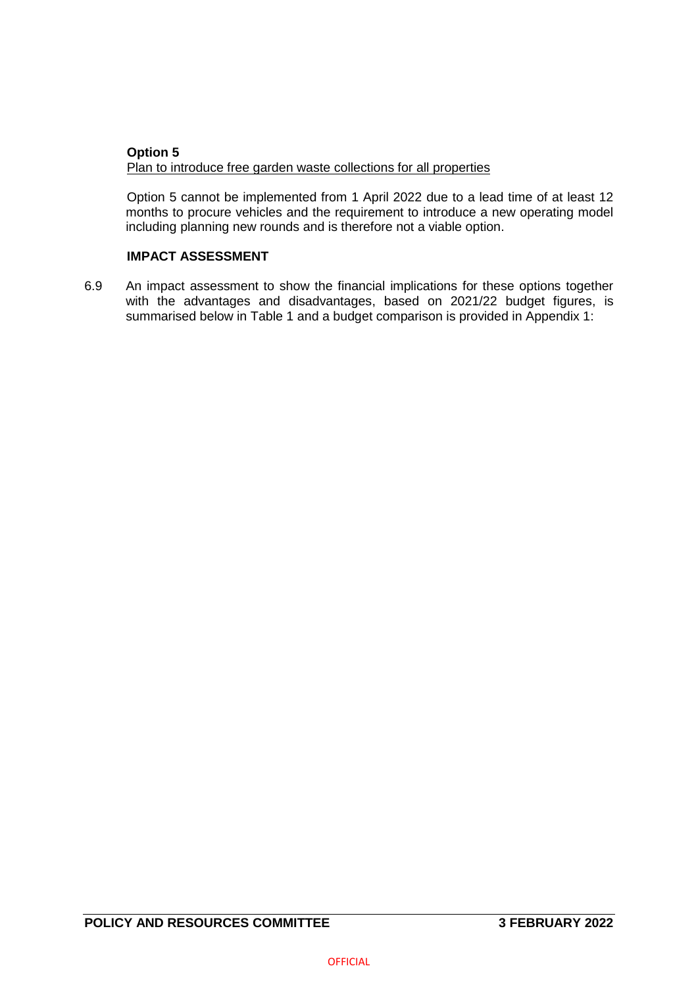## **Option 5** Plan to introduce free garden waste collections for all properties

Option 5 cannot be implemented from 1 April 2022 due to a lead time of at least 12 months to procure vehicles and the requirement to introduce a new operating model including planning new rounds and is therefore not a viable option.

## **IMPACT ASSESSMENT**

6.9 An impact assessment to show the financial implications for these options together with the advantages and disadvantages, based on 2021/22 budget figures, is summarised below in Table 1 and a budget comparison is provided in Appendix 1: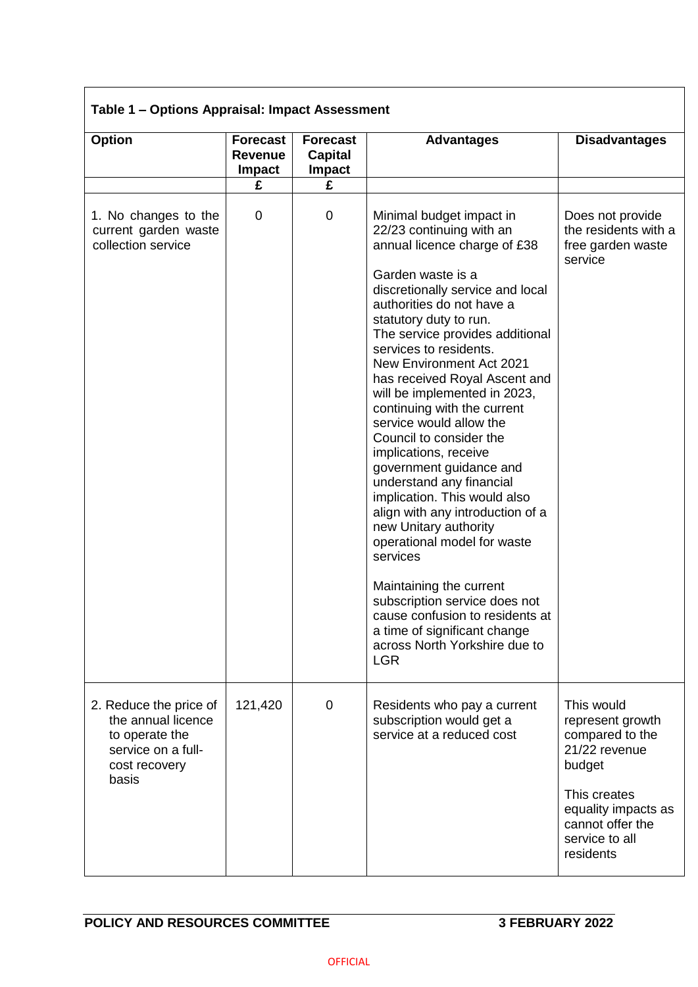# **Table 1 – Options Appraisal: Impact Assessment**

| <b>Option</b>                                                                                                  | <b>Forecast</b><br><b>Revenue</b><br><b>Impact</b> | <b>Forecast</b><br><b>Capital</b><br><b>Impact</b> | <b>Advantages</b>                                                                                                                                                                                                                                                                                                                                                                                                                                                                                                                                                                                                                                                                                                                                                                                                                                                | <b>Disadvantages</b>                                                                                                                                                   |
|----------------------------------------------------------------------------------------------------------------|----------------------------------------------------|----------------------------------------------------|------------------------------------------------------------------------------------------------------------------------------------------------------------------------------------------------------------------------------------------------------------------------------------------------------------------------------------------------------------------------------------------------------------------------------------------------------------------------------------------------------------------------------------------------------------------------------------------------------------------------------------------------------------------------------------------------------------------------------------------------------------------------------------------------------------------------------------------------------------------|------------------------------------------------------------------------------------------------------------------------------------------------------------------------|
|                                                                                                                | £                                                  | £                                                  |                                                                                                                                                                                                                                                                                                                                                                                                                                                                                                                                                                                                                                                                                                                                                                                                                                                                  |                                                                                                                                                                        |
| 1. No changes to the<br>current garden waste<br>collection service                                             | $\mathbf 0$                                        | 0                                                  | Minimal budget impact in<br>22/23 continuing with an<br>annual licence charge of £38<br>Garden waste is a<br>discretionally service and local<br>authorities do not have a<br>statutory duty to run.<br>The service provides additional<br>services to residents.<br><b>New Environment Act 2021</b><br>has received Royal Ascent and<br>will be implemented in 2023,<br>continuing with the current<br>service would allow the<br>Council to consider the<br>implications, receive<br>government guidance and<br>understand any financial<br>implication. This would also<br>align with any introduction of a<br>new Unitary authority<br>operational model for waste<br>services<br>Maintaining the current<br>subscription service does not<br>cause confusion to residents at<br>a time of significant change<br>across North Yorkshire due to<br><b>LGR</b> | Does not provide<br>the residents with a<br>free garden waste<br>service                                                                                               |
| 2. Reduce the price of<br>the annual licence<br>to operate the<br>service on a full-<br>cost recovery<br>basis | 121,420                                            | $\mathbf 0$                                        | Residents who pay a current<br>subscription would get a<br>service at a reduced cost                                                                                                                                                                                                                                                                                                                                                                                                                                                                                                                                                                                                                                                                                                                                                                             | This would<br>represent growth<br>compared to the<br>21/22 revenue<br>budget<br>This creates<br>equality impacts as<br>cannot offer the<br>service to all<br>residents |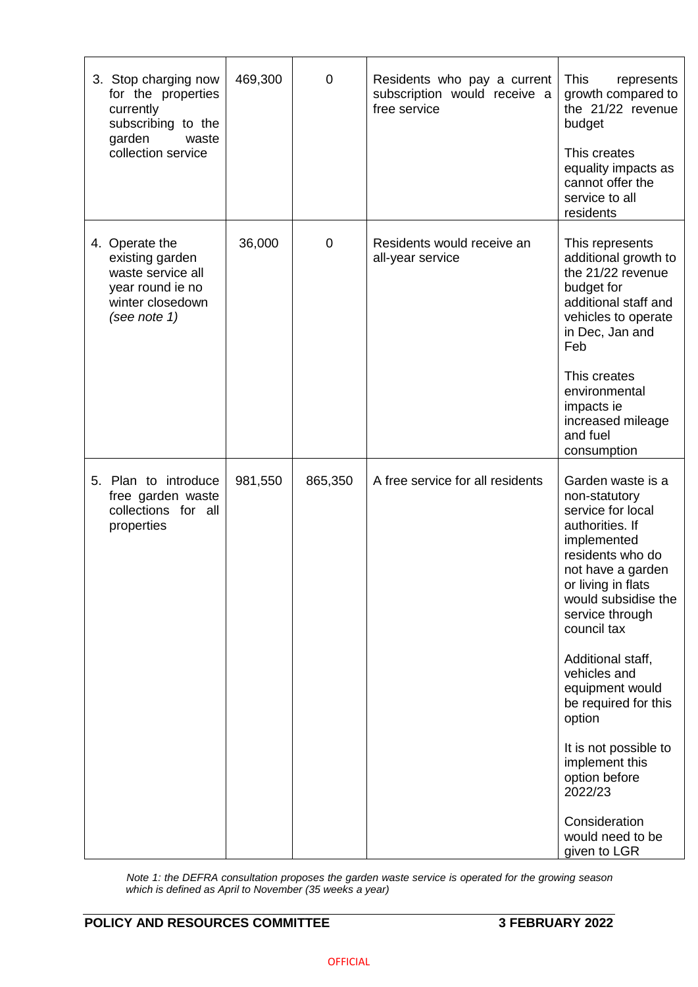| 3. Stop charging now<br>for the properties<br>currently<br>subscribing to the<br>garden<br>waste<br>collection service | 469,300 | $\overline{0}$ | Residents who pay a current<br>subscription would receive a<br>free service | <b>This</b><br>represents<br>growth compared to<br>the 21/22 revenue<br>budget<br>This creates<br>equality impacts as<br>cannot offer the<br>service to all<br>residents                                                                                                                                                                                                                                                                |
|------------------------------------------------------------------------------------------------------------------------|---------|----------------|-----------------------------------------------------------------------------|-----------------------------------------------------------------------------------------------------------------------------------------------------------------------------------------------------------------------------------------------------------------------------------------------------------------------------------------------------------------------------------------------------------------------------------------|
| 4. Operate the<br>existing garden<br>waste service all<br>year round ie no<br>winter closedown<br>(see note 1)         | 36,000  | $\mathbf 0$    | Residents would receive an<br>all-year service                              | This represents<br>additional growth to<br>the 21/22 revenue<br>budget for<br>additional staff and<br>vehicles to operate<br>in Dec, Jan and<br>Feb<br>This creates<br>environmental<br>impacts ie<br>increased mileage<br>and fuel<br>consumption                                                                                                                                                                                      |
| 5. Plan to introduce<br>free garden waste<br>collections for all<br>properties                                         | 981,550 | 865,350        | A free service for all residents                                            | Garden waste is a<br>non-statutory<br>service for local<br>authorities. If<br>implemented<br>residents who do<br>not have a garden<br>or living in flats<br>would subsidise the<br>service through<br>council tax<br>Additional staff,<br>vehicles and<br>equipment would<br>be required for this<br>option<br>It is not possible to<br>implement this<br>option before<br>2022/23<br>Consideration<br>would need to be<br>given to LGR |

*Note 1: the DEFRA consultation proposes the garden waste service is operated for the growing season which is defined as April to November (35 weeks a year)*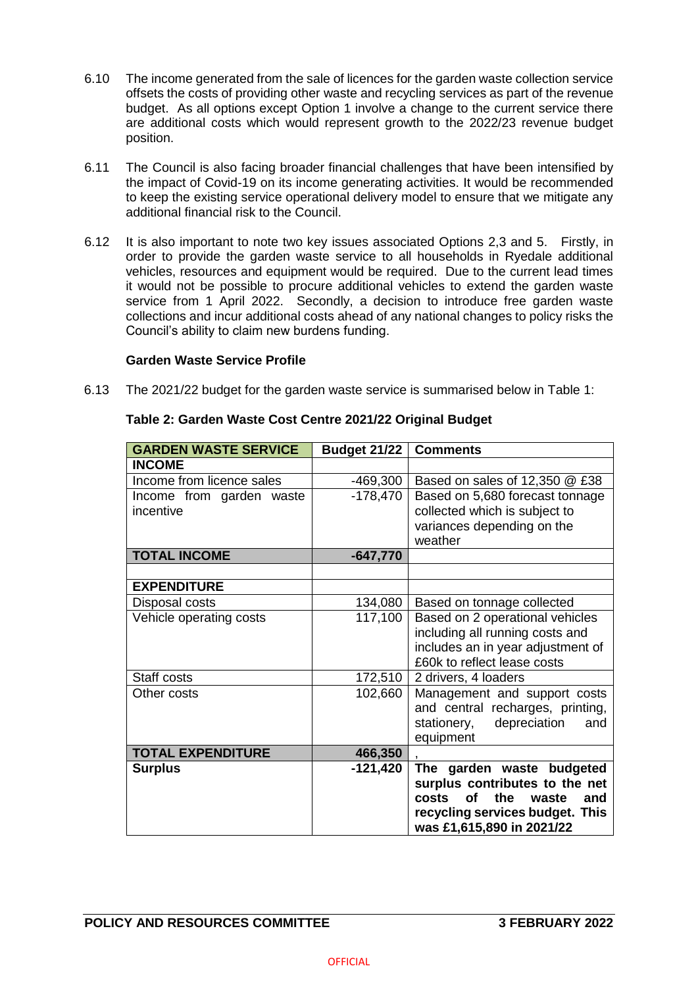- 6.10 The income generated from the sale of licences for the garden waste collection service offsets the costs of providing other waste and recycling services as part of the revenue budget. As all options except Option 1 involve a change to the current service there are additional costs which would represent growth to the 2022/23 revenue budget position.
- 6.11 The Council is also facing broader financial challenges that have been intensified by the impact of Covid-19 on its income generating activities. It would be recommended to keep the existing service operational delivery model to ensure that we mitigate any additional financial risk to the Council.
- 6.12 It is also important to note two key issues associated Options 2,3 and 5. Firstly, in order to provide the garden waste service to all households in Ryedale additional vehicles, resources and equipment would be required. Due to the current lead times it would not be possible to procure additional vehicles to extend the garden waste service from 1 April 2022. Secondly, a decision to introduce free garden waste collections and incur additional costs ahead of any national changes to policy risks the Council's ability to claim new burdens funding.

## **Garden Waste Service Profile**

6.13 The 2021/22 budget for the garden waste service is summarised below in Table 1:

| <b>GARDEN WASTE SERVICE</b> | <b>Budget 21/22</b> | <b>Comments</b>                   |
|-----------------------------|---------------------|-----------------------------------|
| <b>INCOME</b>               |                     |                                   |
| Income from licence sales   | $-469,300$          | Based on sales of 12,350 @ £38    |
| Income from garden waste    | $-178,470$          | Based on 5,680 forecast tonnage   |
| incentive                   |                     | collected which is subject to     |
|                             |                     | variances depending on the        |
|                             |                     | weather                           |
| <b>TOTAL INCOME</b>         | $-647,770$          |                                   |
|                             |                     |                                   |
| <b>EXPENDITURE</b>          |                     |                                   |
| Disposal costs              | 134,080             | Based on tonnage collected        |
| Vehicle operating costs     | 117,100             | Based on 2 operational vehicles   |
|                             |                     | including all running costs and   |
|                             |                     | includes an in year adjustment of |
|                             |                     | £60k to reflect lease costs       |
| Staff costs                 | 172,510             | 2 drivers, 4 loaders              |
| Other costs                 | 102,660             | Management and support costs      |
|                             |                     | and central recharges, printing,  |
|                             |                     | stationery, depreciation<br>and   |
|                             |                     | equipment                         |
| <b>TOTAL EXPENDITURE</b>    | 466,350             |                                   |
| <b>Surplus</b>              | $-121,420$          | The garden waste budgeted         |
|                             |                     | surplus contributes to the net    |
|                             |                     | of the<br>costs<br>waste<br>and   |
|                             |                     | recycling services budget. This   |
|                             |                     | was £1,615,890 in 2021/22         |

## **Table 2: Garden Waste Cost Centre 2021/22 Original Budget**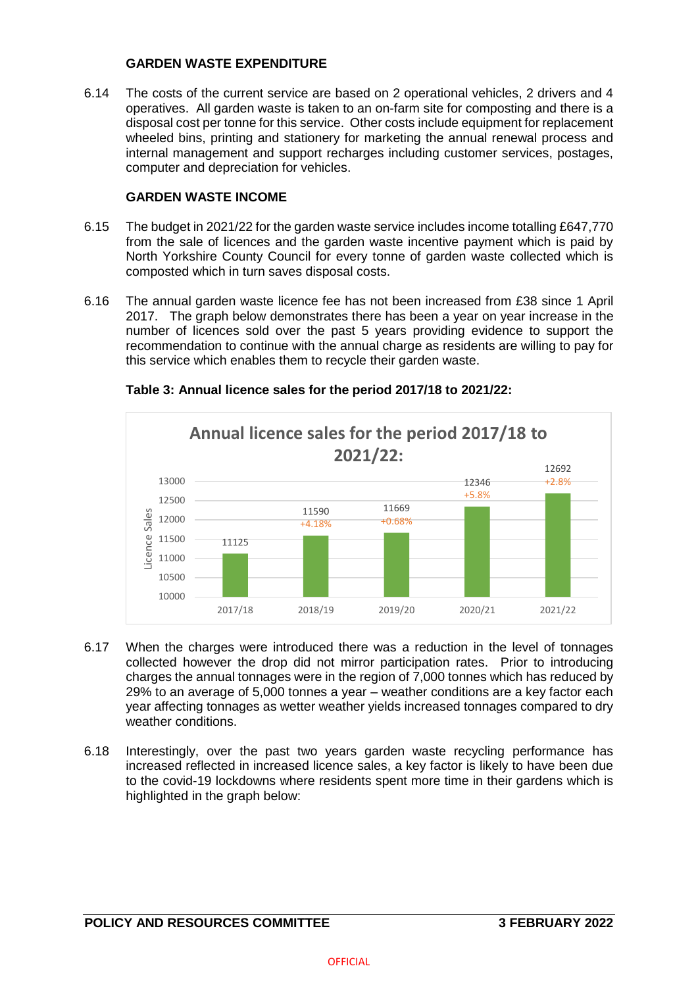## **GARDEN WASTE EXPENDITURE**

6.14 The costs of the current service are based on 2 operational vehicles, 2 drivers and 4 operatives. All garden waste is taken to an on-farm site for composting and there is a disposal cost per tonne for this service. Other costs include equipment for replacement wheeled bins, printing and stationery for marketing the annual renewal process and internal management and support recharges including customer services, postages, computer and depreciation for vehicles.

# **GARDEN WASTE INCOME**

- 6.15 The budget in 2021/22 for the garden waste service includes income totalling £647,770 from the sale of licences and the garden waste incentive payment which is paid by North Yorkshire County Council for every tonne of garden waste collected which is composted which in turn saves disposal costs.
- 6.16 The annual garden waste licence fee has not been increased from £38 since 1 April 2017. The graph below demonstrates there has been a year on year increase in the number of licences sold over the past 5 years providing evidence to support the recommendation to continue with the annual charge as residents are willing to pay for this service which enables them to recycle their garden waste.



# **Table 3: Annual licence sales for the period 2017/18 to 2021/22:**

- 6.17 When the charges were introduced there was a reduction in the level of tonnages collected however the drop did not mirror participation rates. Prior to introducing charges the annual tonnages were in the region of 7,000 tonnes which has reduced by 29% to an average of 5,000 tonnes a year – weather conditions are a key factor each year affecting tonnages as wetter weather yields increased tonnages compared to dry weather conditions.
- 6.18 Interestingly, over the past two years garden waste recycling performance has increased reflected in increased licence sales, a key factor is likely to have been due to the covid-19 lockdowns where residents spent more time in their gardens which is highlighted in the graph below: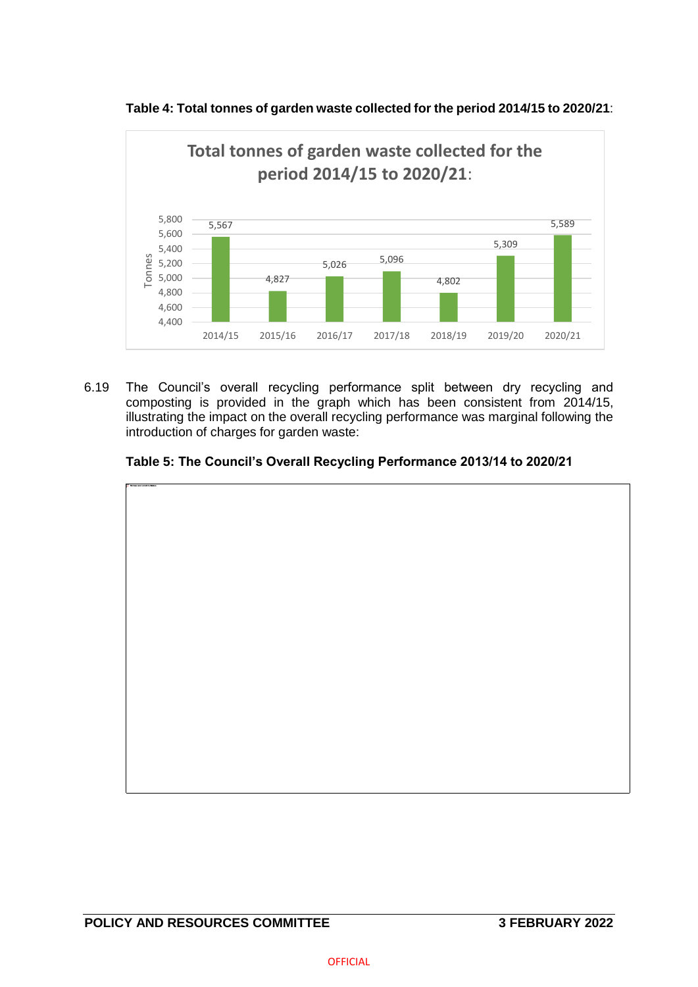

**Table 4: Total tonnes of garden waste collected for the period 2014/15 to 2020/21**:

6.19 The Council's overall recycling performance split between dry recycling and composting is provided in the graph which has been consistent from 2014/15, illustrating the impact on the overall recycling performance was marginal following the introduction of charges for garden waste:



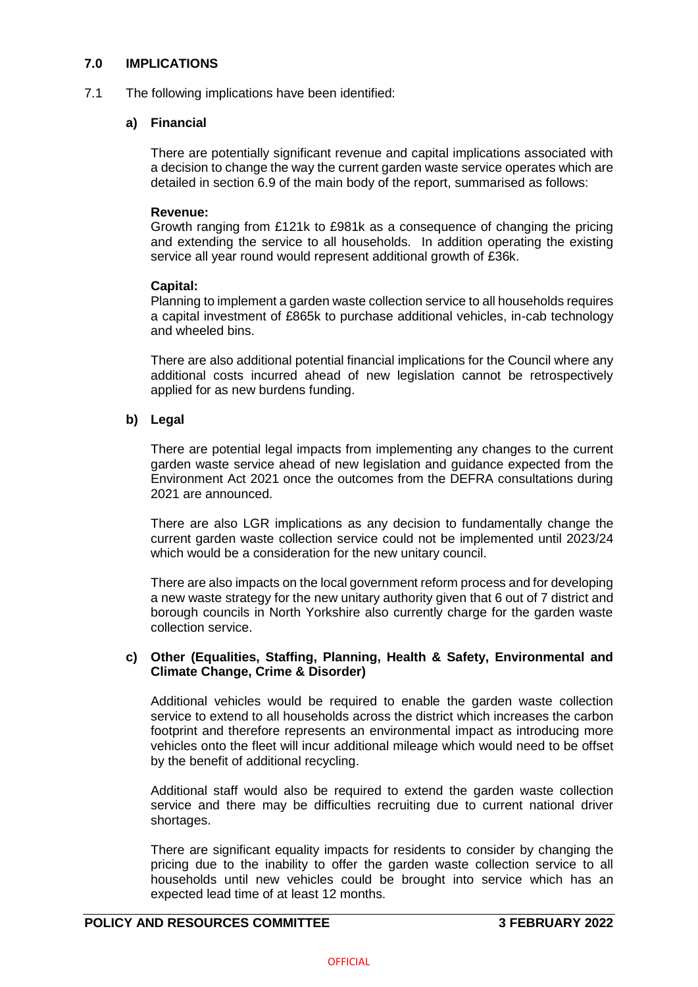## **7.0 IMPLICATIONS**

7.1 The following implications have been identified:

## **a) Financial**

There are potentially significant revenue and capital implications associated with a decision to change the way the current garden waste service operates which are detailed in section 6.9 of the main body of the report, summarised as follows:

## **Revenue:**

Growth ranging from £121k to £981k as a consequence of changing the pricing and extending the service to all households. In addition operating the existing service all year round would represent additional growth of £36k.

### **Capital:**

Planning to implement a garden waste collection service to all households requires a capital investment of £865k to purchase additional vehicles, in-cab technology and wheeled bins.

There are also additional potential financial implications for the Council where any additional costs incurred ahead of new legislation cannot be retrospectively applied for as new burdens funding.

## **b) Legal**

There are potential legal impacts from implementing any changes to the current garden waste service ahead of new legislation and guidance expected from the Environment Act 2021 once the outcomes from the DEFRA consultations during 2021 are announced.

There are also LGR implications as any decision to fundamentally change the current garden waste collection service could not be implemented until 2023/24 which would be a consideration for the new unitary council.

There are also impacts on the local government reform process and for developing a new waste strategy for the new unitary authority given that 6 out of 7 district and borough councils in North Yorkshire also currently charge for the garden waste collection service.

## **c) Other (Equalities, Staffing, Planning, Health & Safety, Environmental and Climate Change, Crime & Disorder)**

Additional vehicles would be required to enable the garden waste collection service to extend to all households across the district which increases the carbon footprint and therefore represents an environmental impact as introducing more vehicles onto the fleet will incur additional mileage which would need to be offset by the benefit of additional recycling.

Additional staff would also be required to extend the garden waste collection service and there may be difficulties recruiting due to current national driver shortages.

There are significant equality impacts for residents to consider by changing the pricing due to the inability to offer the garden waste collection service to all households until new vehicles could be brought into service which has an expected lead time of at least 12 months.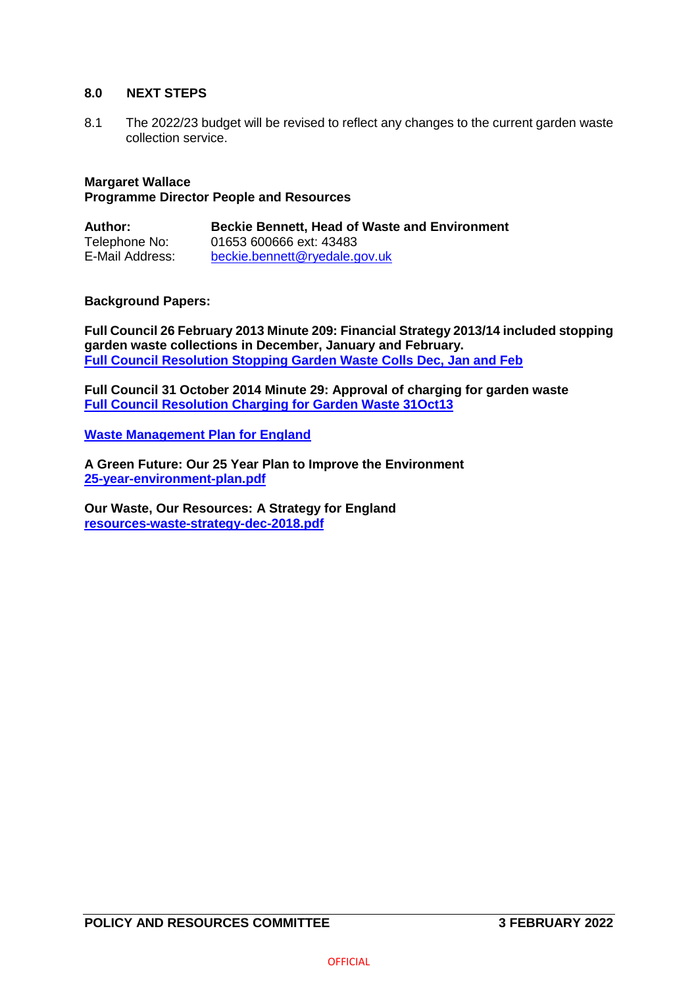### **8.0 NEXT STEPS**

8.1 The 2022/23 budget will be revised to reflect any changes to the current garden waste collection service.

# **Margaret Wallace**

## **Programme Director People and Resources**

| Author:         | <b>Beckie Bennett, Head of Waste and Environment</b> |
|-----------------|------------------------------------------------------|
| Telephone No:   | 01653 600666 ext: 43483                              |
| E-Mail Address: | beckie.bennett@ryedale.gov.uk                        |

## **Background Papers:**

**Full Council 26 February 2013 Minute 209: Financial Strategy 2013/14 included stopping garden waste collections in December, January and February. [Full Council Resolution Stopping Garden Waste Colls Dec, Jan and Feb](https://democracy.ryedale.gov.uk/documents/g981/Printed%20minutes%2026th-Feb-2013%2018.30%20Council.pdf?T=1)**

**Full Council 31 October 2014 Minute 29: Approval of charging for garden waste [Full Council Resolution Charging for Garden Waste 31Oct13](https://democracy.ryedale.gov.uk/documents/g1098/Public%20minutes%2031st-Oct-2013%2018.30%20Council.pdf?T=11)**

**[Waste Management Plan for England](https://assets.publishing.service.gov.uk/government/uploads/system/uploads/attachment_data/file/955897/waste-management-plan-for-england-2021.pdf)**

**A Green Future: Our 25 Year Plan to Improve the Environment [25-year-environment-plan.pdf](https://assets.publishing.service.gov.uk/government/uploads/system/uploads/attachment_data/file/693158/25-year-environment-plan.pdf)**

**Our Waste, Our Resources: A Strategy for England [resources-waste-strategy-dec-2018.pdf](https://assets.publishing.service.gov.uk/government/uploads/system/uploads/attachment_data/file/765914/resources-waste-strategy-dec-2018.pdf)**